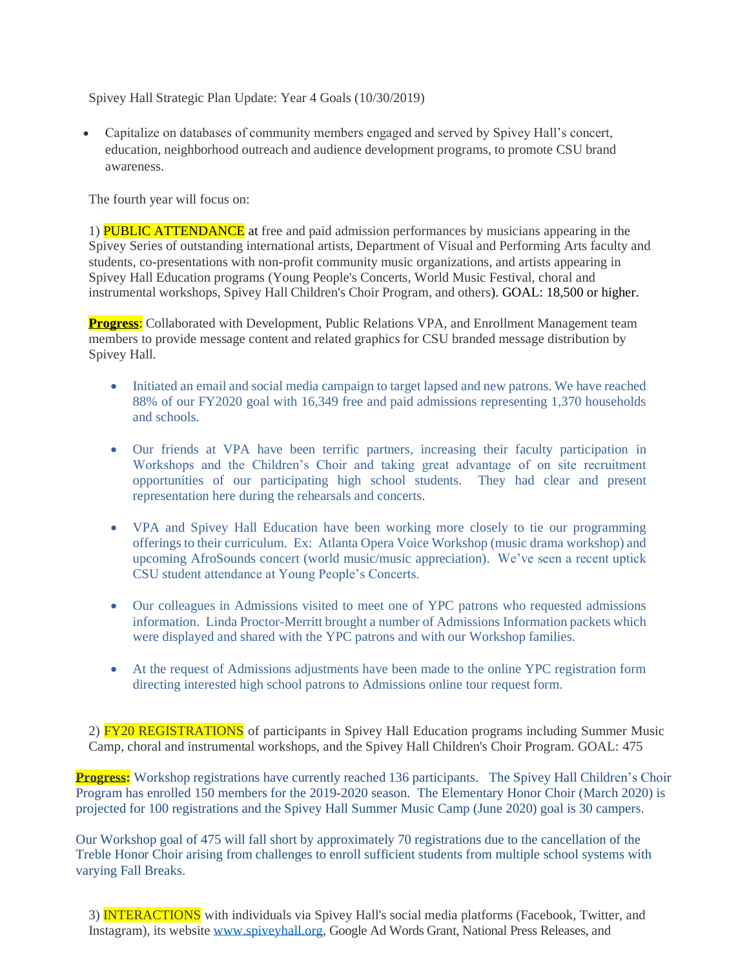Spivey Hall Strategic Plan Update: Year 4 Goals (10/30/2019)

• Capitalize on databases of community members engaged and served by Spivey Hall's concert, education, neighborhood outreach and audience development programs, to promote CSU brand awareness.

The fourth year will focus on:

1) **PUBLIC ATTENDANCE** at free and paid admission performances by musicians appearing in the Spivey Series of outstanding international artists, Department of Visual and Performing Arts faculty and students, co-presentations with non-profit community music organizations, and artists appearing in Spivey Hall Education programs (Young People's Concerts, World Music Festival, choral and instrumental workshops, Spivey Hall Children's Choir Program, and others). GOAL: 18,500 or higher.

**Progress:** Collaborated with Development, Public Relations VPA, and Enrollment Management team members to provide message content and related graphics for CSU branded message distribution by Spivey Hall.

- Initiated an email and social media campaign to target lapsed and new patrons. We have reached 88% of our FY2020 goal with 16,349 free and paid admissions representing 1,370 households and schools*.*
- Our friends at VPA have been terrific partners, increasing their faculty participation in Workshops and the Children's Choir and taking great advantage of on site recruitment opportunities of our participating high school students. They had clear and present representation here during the rehearsals and concerts.
- VPA and Spivey Hall Education have been working more closely to tie our programming offerings to their curriculum. Ex: Atlanta Opera Voice Workshop (music drama workshop) and upcoming AfroSounds concert (world music/music appreciation). We've seen a recent uptick CSU student attendance at Young People's Concerts.
- Our colleagues in Admissions visited to meet one of YPC patrons who requested admissions information. Linda Proctor-Merritt brought a number of Admissions Information packets which were displayed and shared with the YPC patrons and with our Workshop families.
- At the request of Admissions adjustments have been made to the online YPC registration form directing interested high school patrons to Admissions online tour request form.

2) FY20 REGISTRATIONS of participants in Spivey Hall Education programs including Summer Music Camp, choral and instrumental workshops, and the Spivey Hall Children's Choir Program. GOAL: 475

**Progress:** Workshop registrations have currently reached 136 participants. The Spivey Hall Children's Choir Program has enrolled 150 members for the 2019-2020 season. The Elementary Honor Choir (March 2020) is projected for 100 registrations and the Spivey Hall Summer Music Camp (June 2020) goal is 30 campers.

Our Workshop goal of 475 will fall short by approximately 70 registrations due to the cancellation of the Treble Honor Choir arising from challenges to enroll sufficient students from multiple school systems with varying Fall Breaks.

3) INTERACTIONS with individuals via Spivey Hall's social media platforms (Facebook, Twitter, and Instagram), its website [www.spiveyhall.org,](http://www.spiveyhall.org/) Google Ad Words Grant, National Press Releases, and